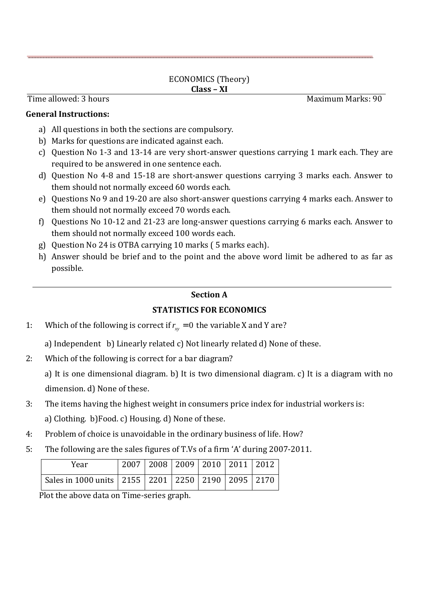#### ECONOMICS (Theory) **Class – XI**

Time allowed: 3 hours **Maximum Marks: 90** 

#### **General Instructions:**

- a) All questions in both the sections are compulsory.
- b) Marks for questions are indicated against each.
- c) Question No 1-3 and 13-14 are very short-answer questions carrying 1 mark each. They are required to be answered in one sentence each.
- d) Question No 4-8 and 15-18 are short-answer questions carrying 3 marks each. Answer to them should not normally exceed 60 words each.
- e) Questions No 9 and 19-20 are also short-answer questions carrying 4 marks each. Answer to them should not normally exceed 70 words each.
- f) Questions No 10-12 and 21-23 are long-answer questions carrying 6 marks each. Answer to them should not normally exceed 100 words each.
- g) Question No 24 is OTBA carrying 10 marks ( 5 marks each).
- h) Answer should be brief and to the point and the above word limit be adhered to as far as possible.

### **Section A**

## **STATISTICS FOR ECONOMICS**

1: Which of the following is correct if  $r_{xy} = 0$  the variable X and Y are?

a) Independent b) Linearly related c) Not linearly related d) None of these.

2: Which of the following is correct for a bar diagram?

a) It is one dimensional diagram. b) It is two dimensional diagram. c) It is a diagram with no dimension. d) None of these.

- 3: The items having the highest weight in consumers price index for industrial workers is: a) Clothing. b)Food. c) Housing. d) None of these.
- 4: Problem of choice is unavoidable in the ordinary business of life. How?
- 5: The following are the sales figures of T.Vs of a firm 'A' during 2007-2011.

| Year                                                          |  | 2007   2008   2009   2010   2011   2012 |  |  |
|---------------------------------------------------------------|--|-----------------------------------------|--|--|
| Sales in 1000 units   2155   2201   2250   2190   2095   2170 |  |                                         |  |  |

Plot the above data on Time-series graph.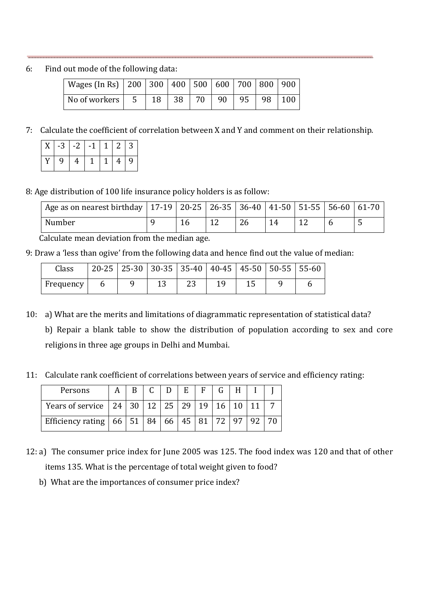6: Find out mode of the following data:

| Wages (In Rs)   200   300   400   500   600   700   800   900 |  |  |  |  |
|---------------------------------------------------------------|--|--|--|--|
| No of workers   5   18   38   70   90   95   98   100         |  |  |  |  |

7: Calculate the coefficient of correlation between X and Y and comment on their relationship.

|       |           | $X$ -3 -2 -1 1 2 3 |  |  |
|-------|-----------|--------------------|--|--|
| Y   9 | $\vert 4$ | 1149               |  |  |

8: Age distribution of 100 life insurance policy holders is as follow:

| Age as on nearest birthday   17-19   20-25   26-35   36-40   41-50   51-55   56-60   61-70 |  |    |  |  |
|--------------------------------------------------------------------------------------------|--|----|--|--|
| Number                                                                                     |  | 26 |  |  |

Calculate mean deviation from the median age.

9: Draw a 'less than ogive' from the following data and hence find out the value of median:

| Class     |  | $20-25$   25-30   30-35   35-40   40-45   45-50   50-55   55-60 |  |  |  |
|-----------|--|-----------------------------------------------------------------|--|--|--|
| Frequency |  |                                                                 |  |  |  |

- 10: a) What are the merits and limitations of diagrammatic representation of statistical data? b) Repair a blank table to show the distribution of population according to sex and core religions in three age groups in Delhi and Mumbai.
- 11: Calculate rank coefficient of correlations between years of service and efficiency rating:

| Persons                                         |  |  | $E$ | $F_{\perp}$ |             |  |  |
|-------------------------------------------------|--|--|-----|-------------|-------------|--|--|
| Years of service   24   30   12   25   29       |  |  |     | 19          | 16          |  |  |
| Efficiency rating   66   51   84   66   45   81 |  |  |     |             | $\sqrt{72}$ |  |  |

- 12: a) The consumer price index for June 2005 was 125. The food index was 120 and that of other items 135. What is the percentage of total weight given to food?
	- b) What are the importances of consumer price index?